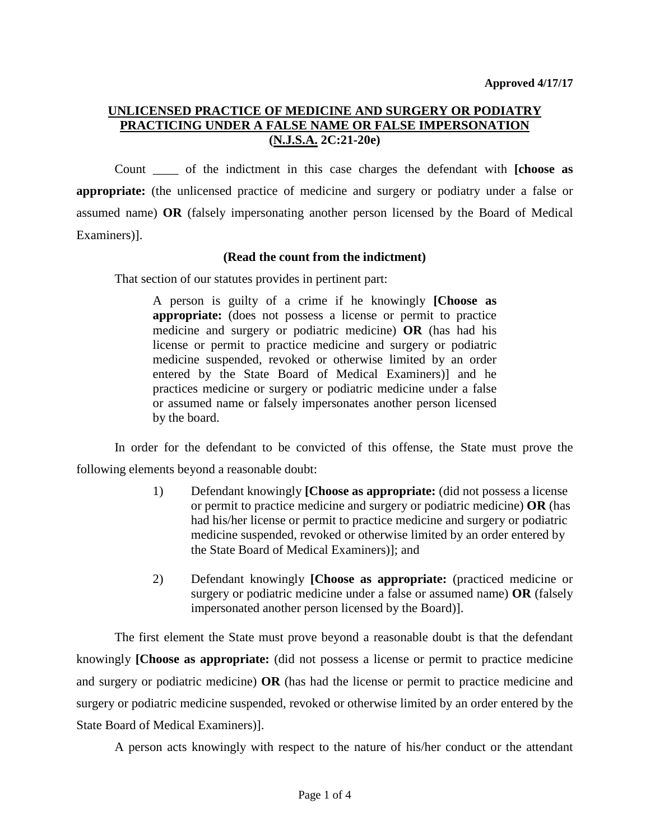## **UNLICENSED PRACTICE OF MEDICINE AND SURGERY OR PODIATRY PRACTICING UNDER A FALSE NAME OR FALSE IMPERSONATION (N.J.S.A. 2C:21-20e)**

Count \_\_\_\_ of the indictment in this case charges the defendant with **[choose as appropriate:** (the unlicensed practice of medicine and surgery or podiatry under a false or assumed name) **OR** (falsely impersonating another person licensed by the Board of Medical Examiners)].

#### **(Read the count from the indictment)**

That section of our statutes provides in pertinent part:

A person is guilty of a crime if he knowingly **[Choose as appropriate:** (does not possess a license or permit to practice medicine and surgery or podiatric medicine) **OR** (has had his license or permit to practice medicine and surgery or podiatric medicine suspended, revoked or otherwise limited by an order entered by the State Board of Medical Examiners)] and he practices medicine or surgery or podiatric medicine under a false or assumed name or falsely impersonates another person licensed by the board.

In order for the defendant to be convicted of this offense, the State must prove the following elements beyond a reasonable doubt:

- 1) Defendant knowingly **[Choose as appropriate:** (did not possess a license or permit to practice medicine and surgery or podiatric medicine) **OR** (has had his/her license or permit to practice medicine and surgery or podiatric medicine suspended, revoked or otherwise limited by an order entered by the State Board of Medical Examiners)]; and
- 2) Defendant knowingly **[Choose as appropriate:** (practiced medicine or surgery or podiatric medicine under a false or assumed name) **OR** (falsely impersonated another person licensed by the Board)].

The first element the State must prove beyond a reasonable doubt is that the defendant knowingly **[Choose as appropriate:** (did not possess a license or permit to practice medicine and surgery or podiatric medicine) **OR** (has had the license or permit to practice medicine and surgery or podiatric medicine suspended, revoked or otherwise limited by an order entered by the State Board of Medical Examiners)].

A person acts knowingly with respect to the nature of his/her conduct or the attendant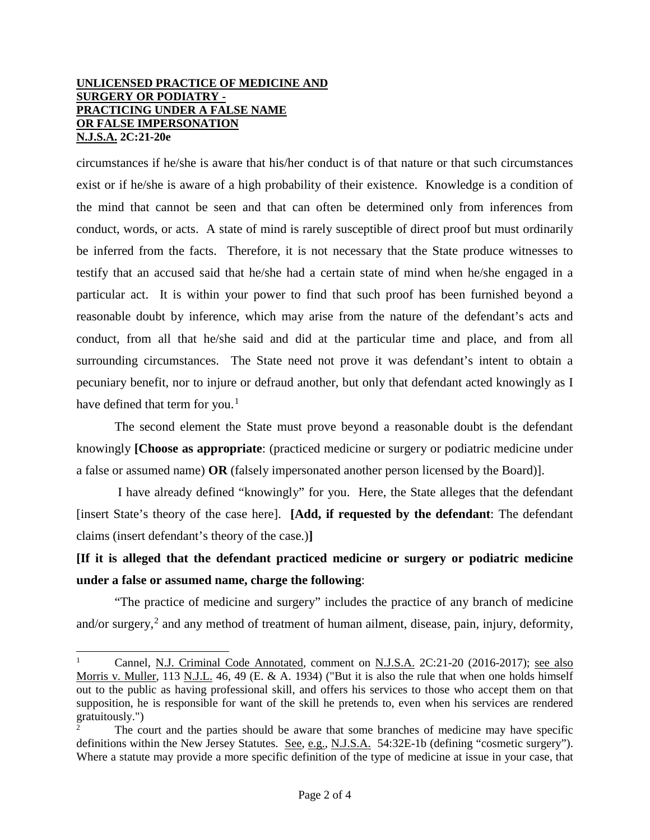#### **UNLICENSED PRACTICE OF MEDICINE AND SURGERY OR PODIATRY - PRACTICING UNDER A FALSE NAME OR FALSE IMPERSONATION N.J.S.A. 2C:21-20e**

circumstances if he/she is aware that his/her conduct is of that nature or that such circumstances exist or if he/she is aware of a high probability of their existence. Knowledge is a condition of the mind that cannot be seen and that can often be determined only from inferences from conduct, words, or acts. A state of mind is rarely susceptible of direct proof but must ordinarily be inferred from the facts. Therefore, it is not necessary that the State produce witnesses to testify that an accused said that he/she had a certain state of mind when he/she engaged in a particular act. It is within your power to find that such proof has been furnished beyond a reasonable doubt by inference, which may arise from the nature of the defendant's acts and conduct, from all that he/she said and did at the particular time and place, and from all surrounding circumstances. The State need not prove it was defendant's intent to obtain a pecuniary benefit, nor to injure or defraud another, but only that defendant acted knowingly as I have defined that term for you.<sup>[1](#page-1-0)</sup>

The second element the State must prove beyond a reasonable doubt is the defendant knowingly **[Choose as appropriate**: (practiced medicine or surgery or podiatric medicine under a false or assumed name) **OR** (falsely impersonated another person licensed by the Board)].

I have already defined "knowingly" for you.Here, the State alleges that the defendant [insert State's theory of the case here]. **[Add, if requested by the defendant**: The defendant claims (insert defendant's theory of the case.)**]**

**[If it is alleged that the defendant practiced medicine or surgery or podiatric medicine under a false or assumed name, charge the following**:

"The practice of medicine and surgery" includes the practice of any branch of medicine and/or surgery,<sup>[2](#page-1-1)</sup> and any method of treatment of human ailment, disease, pain, injury, deformity,

<span id="page-1-0"></span> $\frac{1}{1}$ <sup>1</sup> Cannel, N.J. Criminal Code Annotated, comment on N.J.S.A. 2C:21-20 (2016-2017); see also Morris v. Muller, 113 N.J.L. 46, 49 (E. & A. 1934) ("But it is also the rule that when one holds himself out to the public as having professional skill, and offers his services to those who accept them on that supposition, he is responsible for want of the skill he pretends to, even when his services are rendered gratuitously.")

<span id="page-1-1"></span><sup>2</sup> The court and the parties should be aware that some branches of medicine may have specific definitions within the New Jersey Statutes. See, e.g., N.J.S.A. 54:32E-1b (defining "cosmetic surgery"). Where a statute may provide a more specific definition of the type of medicine at issue in your case, that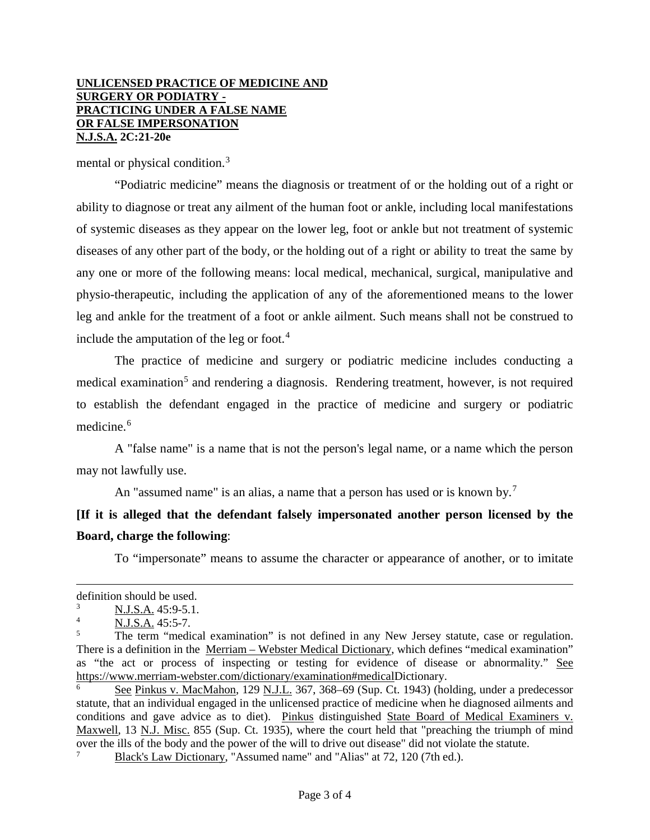#### **UNLICENSED PRACTICE OF MEDICINE AND SURGERY OR PODIATRY - PRACTICING UNDER A FALSE NAME OR FALSE IMPERSONATION N.J.S.A. 2C:21-20e**

mental or physical condition.[3](#page-2-0)

"Podiatric medicine" means the diagnosis or treatment of or the holding out of a right or ability to diagnose or treat any ailment of the human foot or ankle, including local manifestations of systemic diseases as they appear on the lower leg, foot or ankle but not treatment of systemic diseases of any other part of the body, or the holding out of a right or ability to treat the same by any one or more of the following means: local medical, mechanical, surgical, manipulative and physio-therapeutic, including the application of any of the aforementioned means to the lower leg and ankle for the treatment of a foot or ankle ailment. Such means shall not be construed to include the amputation of the leg or foot. $4$ 

The practice of medicine and surgery or podiatric medicine includes conducting a medical examination<sup>[5](#page-2-2)</sup> and rendering a diagnosis. Rendering treatment, however, is not required to establish the defendant engaged in the practice of medicine and surgery or podiatric medicine.<sup>[6](#page-2-3)</sup>

A "false name" is a name that is not the person's legal name, or a name which the person may not lawfully use.

An "assumed name" is an alias, a name that a person has used or is known by.<sup>[7](#page-2-4)</sup>

# **[If it is alleged that the defendant falsely impersonated another person licensed by the Board, charge the following**:

To "impersonate" means to assume the character or appearance of another, or to imitate

 $\overline{a}$ 

definition should be used.

<span id="page-2-1"></span><span id="page-2-0"></span> $\frac{3}{4}$  N.J.S.A. 45:9-5.1.

N.J.S.A. 45:5-7.

<span id="page-2-2"></span>The term "medical examination" is not defined in any New Jersey statute, case or regulation. There is a definition in the Merriam – Webster Medical Dictionary, which defines "medical examination" as "the act or process of inspecting or testing for evidence of disease or abnormality." See [https://www.merriam-webster.com/dictionary/examination#medicalD](https://www.merriam-webster.com/dictionary/examination#medical)ictionary.

<span id="page-2-3"></span><sup>6</sup> See Pinkus v. MacMahon, 129 N.J.L. 367, 368–69 (Sup. Ct. 1943) (holding, under a predecessor statute, that an individual engaged in the unlicensed practice of medicine when he diagnosed ailments and conditions and gave advice as to diet). Pinkus distinguished State Board of Medical Examiners v. Maxwell, 13 N.J. Misc. 855 (Sup. Ct. 1935), where the court held that "preaching the triumph of mind over the ills of the body and the power of the will to drive out disease" did not violate the statute. 7

<span id="page-2-4"></span>Black's Law Dictionary, "Assumed name" and "Alias" at 72, 120 (7th ed.).